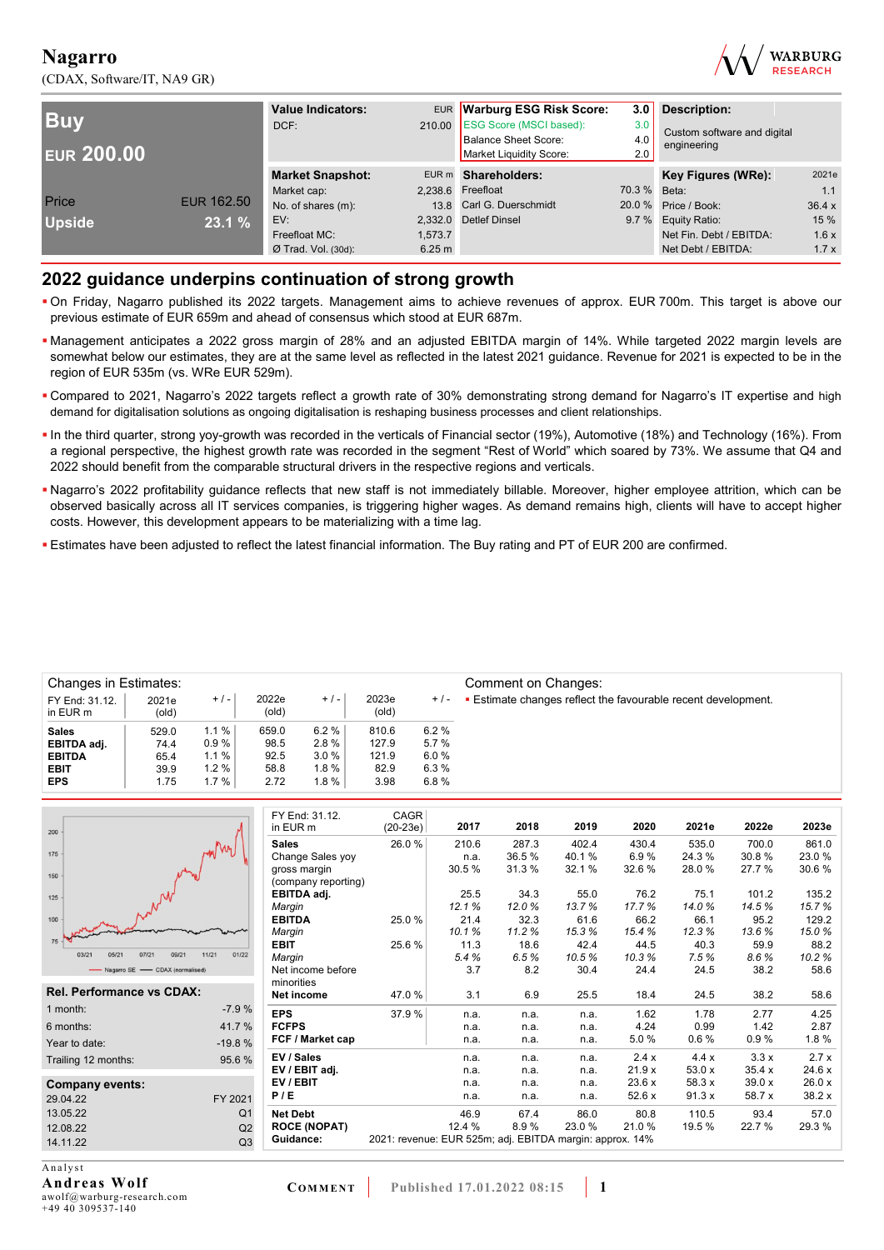(CDAX, Software/IT, NA9 GR)



| <b>Buv</b><br><b>EUR 200.00</b> |                   | EUR Warburg ESG Risk Score:<br><b>Value Indicators:</b><br>210.00 ESG Score (MSCI based):<br>DCF:<br><b>Balance Sheet Score:</b><br>Market Liquidity Score: |         | 3.0<br>3.0<br>4.0<br>2.0 | Description:<br>Custom software and digital<br>engineering |                         |       |
|---------------------------------|-------------------|-------------------------------------------------------------------------------------------------------------------------------------------------------------|---------|--------------------------|------------------------------------------------------------|-------------------------|-------|
|                                 |                   | <b>Market Snapshot:</b>                                                                                                                                     |         | EUR m Shareholders:      |                                                            | Key Figures (WRe):      | 2021e |
|                                 |                   | Market cap:                                                                                                                                                 |         | 2,238.6 Freefloat        | 70.3 % Beta:                                               |                         | 1.1   |
| Price                           | <b>EUR 162.50</b> | No. of shares (m):                                                                                                                                          |         | 13.8 Carl G. Duerschmidt |                                                            | 20.0 % Price / Book:    | 36.4x |
| <b>Upside</b>                   | 23.1 %            | EV:                                                                                                                                                         |         | 2,332.0 Detlef Dinsel    |                                                            | 9.7 % Equity Ratio:     | 15 %  |
|                                 |                   | Freefloat MC:                                                                                                                                               | 1.573.7 |                          |                                                            | Net Fin. Debt / EBITDA: | 1.6x  |
|                                 |                   | $Ø$ Trad. Vol. (30d):                                                                                                                                       | 6.25 m  |                          |                                                            | Net Debt / EBITDA:      | 1.7x  |

### **2022 guidance underpins continuation of strong growth**

- On Friday, Nagarro published its 2022 targets. Management aims to achieve revenues of approx. EUR 700m. This target is above our previous estimate of EUR 659m and ahead of consensus which stood at EUR 687m.
- Management anticipates a 2022 gross margin of 28% and an adjusted EBITDA margin of 14%. While targeted 2022 margin levels are somewhat below our estimates, they are at the same level as reflected in the latest 2021 guidance. Revenue for 2021 is expected to be in the region of EUR 535m (vs. WRe EUR 529m).
- Compared to 2021, Nagarro's 2022 targets reflect a growth rate of 30% demonstrating strong demand for Nagarro's IT expertise and high demand for digitalisation solutions as ongoing digitalisation is reshaping business processes and client relationships.
- In the third quarter, strong yoy-growth was recorded in the verticals of Financial sector (19%), Automotive (18%) and Technology (16%). From a regional perspective, the highest growth rate was recorded in the segment "Rest of World" which soared by 73%. We assume that Q4 and 2022 should benefit from the comparable structural drivers in the respective regions and verticals.
- Nagarro's 2022 profitability guidance reflects that new staff is not immediately billable. Moreover, higher employee attrition, which can be observed basically across all IT services companies, is triggering higher wages. As demand remains high, clients will have to accept higher costs. However, this development appears to be materializing with a time lag.
- Estimates have been adjusted to reflect the latest financial information. The Buy rating and PT of EUR 200 are confirmed.

| <b>Changes in Estimates:</b> |                |       |                |         |                |       | Comment on Changes:                                                |
|------------------------------|----------------|-------|----------------|---------|----------------|-------|--------------------------------------------------------------------|
| FY End: 31.12.<br>in EUR m   | 2021e<br>(old) | $+/-$ | 2022e<br>(old) | $+/-$   | 2023e<br>(old) | $+/-$ | <b>Estimate changes reflect the favourable recent development.</b> |
| <b>Sales</b>                 | 529.0          | 1.1%  | 659.0          | 6.2%    | 810.6          | 6.2%  |                                                                    |
| EBITDA adj.                  | 74.4           | 0.9%  | 98.5           | 2.8%    | 127.9          | 5.7%  |                                                                    |
| <b>EBITDA</b>                | 65.4           | 1.1%  | 92.5           | 3.0%    | 121.9          | 6.0%  |                                                                    |
| <b>EBIT</b>                  | 39.9           | 1.2%  | 58.8           | 1.8 %   | 82.9           | 6.3%  |                                                                    |
| <b>EPS</b>                   | 1.75           | 1.7%  | 2.72           | $1.8\%$ | 3.98           | 6.8%  |                                                                    |

|                                  |                | FY End: 31.12.      | CAGR                                                     |        |       |       |       |        |        |        |
|----------------------------------|----------------|---------------------|----------------------------------------------------------|--------|-------|-------|-------|--------|--------|--------|
| 200                              |                | in EUR m            | $(20-23e)$                                               | 2017   | 2018  | 2019  | 2020  | 2021e  | 2022e  | 2023e  |
|                                  | MM/M1          | <b>Sales</b>        | 26.0%                                                    | 210.6  | 287.3 | 402.4 | 430.4 | 535.0  | 700.0  | 861.0  |
| 175                              |                | Change Sales yoy    |                                                          | n.a.   | 36.5% | 40.1% | 6.9%  | 24.3%  | 30.8%  | 23.0%  |
| 150                              |                | gross margin        |                                                          | 30.5%  | 31.3% | 32.1% | 32.6% | 28.0%  | 27.7%  | 30.6%  |
|                                  |                | (company reporting) |                                                          |        |       |       |       |        |        |        |
| 125                              |                | EBITDA adj.         |                                                          | 25.5   | 34.3  | 55.0  | 76.2  | 75.1   | 101.2  | 135.2  |
|                                  |                | Margin              |                                                          | 12.1%  | 12.0% | 13.7% | 17.7% | 14.0%  | 14.5%  | 15.7%  |
| 100                              |                | <b>EBITDA</b>       | 25.0%                                                    | 21.4   | 32.3  | 61.6  | 66.2  | 66.1   | 95.2   | 129.2  |
| 75                               |                | Margin              |                                                          | 10.1%  | 11.2% | 15.3% | 15.4% | 12.3%  | 13.6%  | 15.0%  |
| 07/21<br>09/21<br>03/21<br>05/2  | 11/21<br>01/22 | <b>EBIT</b>         | 25.6%                                                    | 11.3   | 18.6  | 42.4  | 44.5  | 40.3   | 59.9   | 88.2   |
|                                  |                | Margin              |                                                          | 5.4%   | 6.5%  | 10.5% | 10.3% | 7.5%   | 8.6%   | 10.2%  |
| Nagarro SE - CDAX (normalised)   |                | Net income before   |                                                          | 3.7    | 8.2   | 30.4  | 24.4  | 24.5   | 38.2   | 58.6   |
| <b>Rel. Performance vs CDAX:</b> |                | minorities          |                                                          |        |       |       |       |        |        |        |
|                                  |                | Net income          | 47.0 %                                                   | 3.1    | 6.9   | 25.5  | 18.4  | 24.5   | 38.2   | 58.6   |
| 1 month:                         | $-7.9%$        | <b>EPS</b>          | 37.9%                                                    | n.a.   | n.a.  | n.a.  | 1.62  | 1.78   | 2.77   | 4.25   |
| 6 months:                        | 41.7%          | <b>FCFPS</b>        |                                                          | n.a.   | n.a.  | n.a.  | 4.24  | 0.99   | 1.42   | 2.87   |
| Year to date:                    | $-19.8%$       | FCF / Market cap    |                                                          | n.a.   | n.a.  | n.a.  | 5.0%  | 0.6%   | 0.9%   | 1.8%   |
| Trailing 12 months:              | 95.6%          | EV / Sales          |                                                          | n.a.   | n.a.  | n.a.  | 2.4x  | 4.4x   | 3.3x   | 2.7x   |
|                                  |                | EV / EBIT adj.      |                                                          | n.a.   | n.a.  | n.a.  | 21.9x | 53.0x  | 35.4x  | 24.6 x |
| <b>Company events:</b>           |                | EV / EBIT           |                                                          | n.a.   | n.a.  | n.a.  | 23.6x | 58.3 x | 39.0x  | 26.0 x |
| 29.04.22                         | FY 2021        | P/E                 |                                                          | n.a.   | n.a.  | n.a.  | 52.6x | 91.3x  | 58.7 x | 38.2x  |
| 13.05.22                         | Q <sub>1</sub> | <b>Net Debt</b>     |                                                          | 46.9   | 67.4  | 86.0  | 80.8  | 110.5  | 93.4   | 57.0   |
| 12.08.22                         | Q2             | <b>ROCE (NOPAT)</b> |                                                          | 12.4 % | 8.9%  | 23.0% | 21.0% | 19.5 % | 22.7 % | 29.3%  |
| 14.11.22                         | Q <sub>3</sub> | Guidance:           | 2021: revenue: EUR 525m; adj. EBITDA margin: approx. 14% |        |       |       |       |        |        |        |
|                                  |                |                     |                                                          |        |       |       |       |        |        |        |

A nalvst **Andreas Wolf**  awolf@warburg-research.com +49 40 309537-140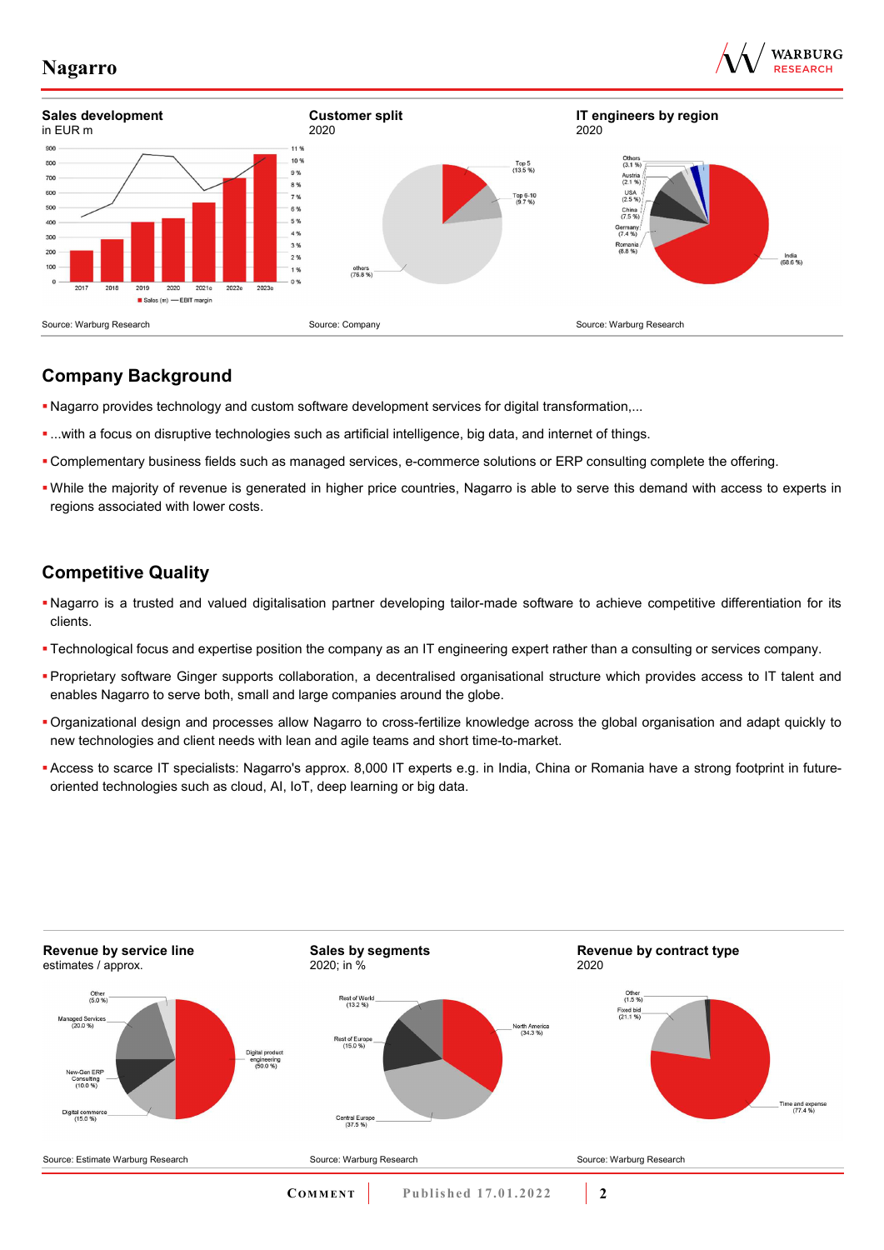





### **Company Background**

- Nagarro provides technology and custom software development services for digital transformation,...
- ...with a focus on disruptive technologies such as artificial intelligence, big data, and internet of things.
- Complementary business fields such as managed services, e-commerce solutions or ERP consulting complete the offering.
- While the majority of revenue is generated in higher price countries, Nagarro is able to serve this demand with access to experts in regions associated with lower costs.

## **Competitive Quality**

- Nagarro is a trusted and valued digitalisation partner developing tailor-made software to achieve competitive differentiation for its clients.
- Technological focus and expertise position the company as an IT engineering expert rather than a consulting or services company.
- Proprietary software Ginger supports collaboration, a decentralised organisational structure which provides access to IT talent and enables Nagarro to serve both, small and large companies around the globe.
- Organizational design and processes allow Nagarro to cross-fertilize knowledge across the global organisation and adapt quickly to new technologies and client needs with lean and agile teams and short time-to-market.
- Access to scarce IT specialists: Nagarro's approx. 8,000 IT experts e.g. in India, China or Romania have a strong footprint in futureoriented technologies such as cloud, AI, IoT, deep learning or big data.

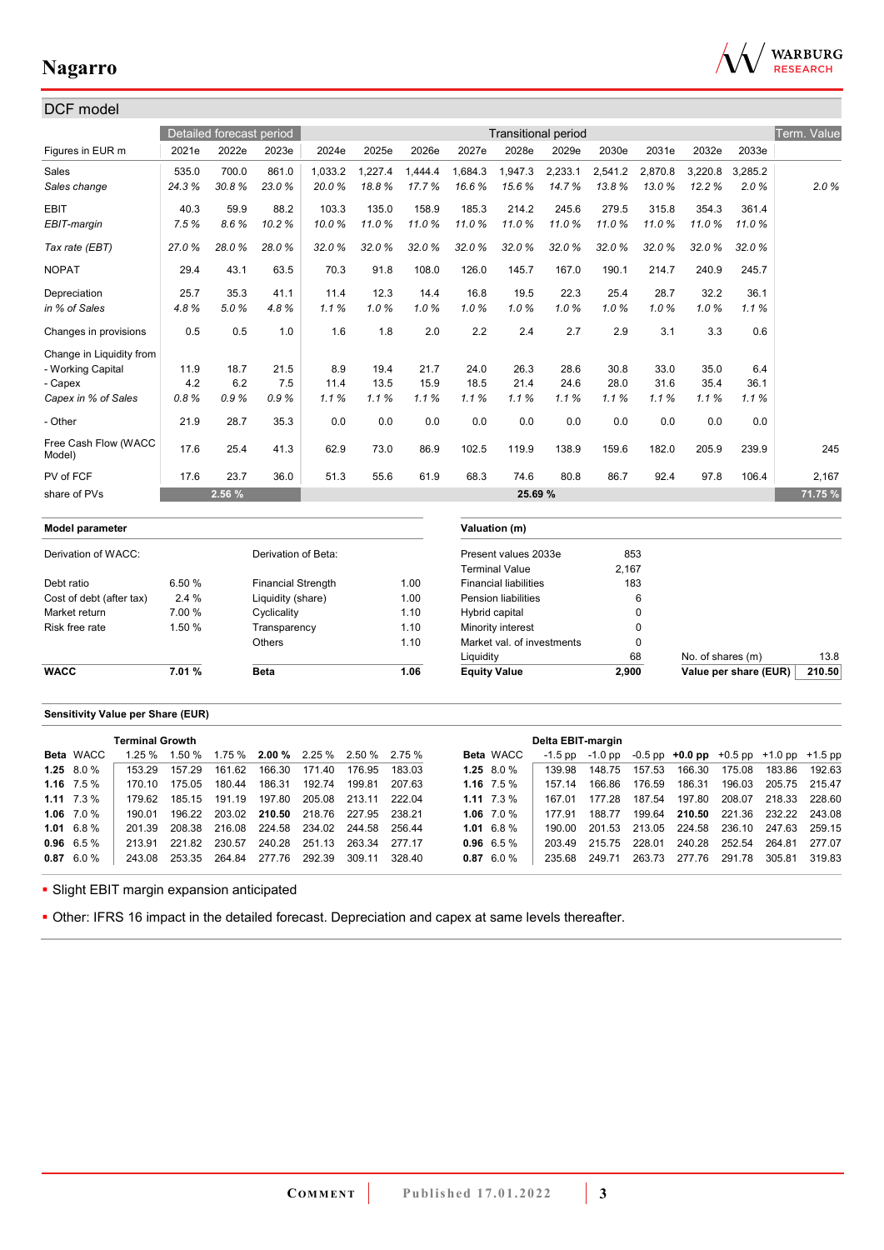

| DCF model                      |        |                          |                           |         |         |         |                     |                              |                            |         |             |                   |                       |             |
|--------------------------------|--------|--------------------------|---------------------------|---------|---------|---------|---------------------|------------------------------|----------------------------|---------|-------------|-------------------|-----------------------|-------------|
|                                |        | Detailed forecast period |                           |         |         |         |                     |                              | <b>Transitional period</b> |         |             |                   |                       | Term. Value |
| Figures in EUR m               | 2021e  | 2022e                    | 2023e                     | 2024e   | 2025e   | 2026e   | 2027e               | 2028e                        | 2029e                      | 2030e   | 2031e       | 2032e             | 2033e                 |             |
| Sales                          | 535.0  | 700.0                    | 861.0                     | 1,033.2 | 1,227.4 | 1.444.4 | 1.684.3             | 1,947.3                      | 2,233.1                    | 2,541.2 | 2,870.8     | 3,220.8           | 3.285.2               |             |
| Sales change                   | 24.3%  | 30.8%                    | 23.0%                     | 20.0%   | 18.8%   | 17.7%   | 16.6%               | 15.6%                        | 14.7%                      | 13.8%   | 13.0%       | 12.2%             | 2.0%                  | 2.0%        |
| <b>EBIT</b>                    | 40.3   | 59.9                     | 88.2                      | 103.3   | 135.0   | 158.9   | 185.3               | 214.2                        | 245.6                      | 279.5   | 315.8       | 354.3             | 361.4                 |             |
| EBIT-margin                    | 7.5%   | 8.6%                     | 10.2%                     | 10.0%   | 11.0%   | 11.0%   | 11.0%               | 11.0%                        | 11.0%                      | 11.0%   | 11.0%       | 11.0%             | 11.0%                 |             |
| Tax rate (EBT)                 | 27.0%  | 28.0%                    | 28.0%                     | 32.0%   | 32.0%   | 32.0%   | 32.0%               | 32.0%                        | 32.0%                      | 32.0%   | 32.0%       | 32.0%             | 32.0%                 |             |
| <b>NOPAT</b>                   | 29.4   | 43.1                     | 63.5                      | 70.3    | 91.8    | 108.0   | 126.0               | 145.7                        | 167.0                      | 190.1   | 214.7       | 240.9             | 245.7                 |             |
| Depreciation                   | 25.7   | 35.3                     | 41.1                      | 11.4    | 12.3    | 14.4    | 16.8                | 19.5                         | 22.3                       | 25.4    | 28.7        | 32.2              | 36.1                  |             |
| in % of Sales                  | 4.8%   | 5.0%                     | 4.8%                      | 1.1%    | 1.0%    | 1.0%    | 1.0%                | 1.0%                         | 1.0%                       | 1.0%    | 1.0%        | 1.0%              | 1.1%                  |             |
| Changes in provisions          | 0.5    | 0.5                      | 1.0                       | 1.6     | 1.8     | 2.0     | 2.2                 | 2.4                          | 2.7                        | 2.9     | 3.1         | 3.3               | 0.6                   |             |
| Change in Liquidity from       |        |                          |                           |         |         |         |                     |                              |                            |         |             |                   |                       |             |
| - Working Capital              | 11.9   | 18.7                     | 21.5                      | 8.9     | 19.4    | 21.7    | 24.0                | 26.3                         | 28.6                       | 30.8    | 33.0        | 35.0              | 6.4                   |             |
| - Capex                        | 4.2    | 6.2                      | 7.5                       | 11.4    | 13.5    | 15.9    | 18.5                | 21.4                         | 24.6                       | 28.0    | 31.6        | 35.4              | 36.1                  |             |
| Capex in % of Sales            | 0.8%   | 0.9%                     | 0.9%                      | 1.1%    | 1.1%    | 1.1%    | 1.1%                | 1.1%                         | 1.1%                       | 1.1%    | 1.1%        | 1.1%              | 1.1%                  |             |
| - Other                        | 21.9   | 28.7                     | 35.3                      | 0.0     | 0.0     | 0.0     | 0.0                 | 0.0                          | 0.0                        | 0.0     | 0.0         | 0.0               | 0.0                   |             |
| Free Cash Flow (WACC<br>Model) | 17.6   | 25.4                     | 41.3                      | 62.9    | 73.0    | 86.9    | 102.5               | 119.9                        | 138.9                      | 159.6   | 182.0       | 205.9             | 239.9                 | 245         |
| PV of FCF                      | 17.6   | 23.7                     | 36.0                      | 51.3    | 55.6    | 61.9    | 68.3                | 74.6                         | 80.8                       | 86.7    | 92.4        | 97.8              | 106.4                 | 2,167       |
| share of PVs                   |        | 2.56 %                   |                           |         |         |         |                     | 25.69 %                      |                            |         |             |                   |                       | 71.75 %     |
| Model parameter                |        |                          |                           |         |         |         |                     | Valuation (m)                |                            |         |             |                   |                       |             |
| Derivation of WACC:            |        |                          | Derivation of Beta:       |         |         |         |                     | Present values 2033e         |                            |         | 853         |                   |                       |             |
|                                |        |                          |                           |         |         |         |                     | <b>Terminal Value</b>        |                            | 2,167   |             |                   |                       |             |
| Debt ratio                     | 6.50 % |                          | <b>Financial Strength</b> |         |         | 1.00    |                     | <b>Financial liabilities</b> |                            |         | 183         |                   |                       |             |
| Cost of debt (after tax)       | 2.4%   |                          | Liquidity (share)         |         |         | 1.00    |                     | <b>Pension liabilities</b>   |                            |         | 6           |                   |                       |             |
| Market return                  | 7.00 % |                          | Cyclicality               |         |         | 1.10    | Hybrid capital      |                              |                            |         | $\mathbf 0$ |                   |                       |             |
| Risk free rate                 | 1.50 % |                          | Transparency              |         |         | 1.10    |                     | Minority interest            |                            |         | $\mathbf 0$ |                   |                       |             |
|                                |        |                          | Others                    |         |         | 1.10    |                     | Market val. of investments   |                            |         | $\mathbf 0$ |                   |                       |             |
|                                |        |                          |                           |         |         |         | Liquidity           |                              |                            |         | 68          | No. of shares (m) |                       | 13.8        |
| <b>WACC</b>                    | 7.01%  |                          | <b>Beta</b>               |         |         | 1.06    | <b>Equity Value</b> |                              |                            | 2,900   |             |                   | Value per share (EUR) | 210.50      |

#### **Sensitivity Value per Share (EUR)**

|                    | <b>Terminal Growth</b> |        |                                      |        |                      |        |        |              |                  | Delta EBIT-margin |        |        |                                                             |        |               |        |
|--------------------|------------------------|--------|--------------------------------------|--------|----------------------|--------|--------|--------------|------------------|-------------------|--------|--------|-------------------------------------------------------------|--------|---------------|--------|
| <b>Beta</b> WACC   | 1.25%                  | 1.50 % | $1.75\%$ 2.00 % 2.25 % 2.50 % 2.75 % |        |                      |        |        |              | <b>Beta</b> WACC | $-1.5$ pp         |        |        | $-1.0$ pp $-0.5$ pp $+0.0$ pp $+0.5$ pp $+1.0$ pp $+1.5$ pp |        |               |        |
| 1.25 $8.0\%$       | 153 29                 | 157.29 | 161.62                               | 166.30 | 171.40               | 176.95 | 183 03 |              | 1.25 $8.0\%$     | 139 98            | 148.75 | 157.53 | 166.30                                                      | 175.08 | 183.86        | 192.63 |
| 1.16 $7.5\%$       | 170 10                 | 175.05 | 180.44                               | 186.31 | 192.74               | 199.81 | 207.63 |              | 1.16 $7.5\%$     | 157 14            | 166.86 | 176.59 | 186.31                                                      | 196.03 | 205.75 215.47 |        |
| $1.11 \quad 7.3\%$ | 179.62                 | 185.15 | 191.19                               | 197.80 | 205.08               | 213.11 | 222.04 | 1.11 $7.3\%$ |                  | 167 01            | 177.28 | 187.54 | 197.80                                                      | 208.07 | 218.33 228.60 |        |
| 1.06 $7.0\%$       | 190 01                 | 196.22 | 203.02 210.50 218.76 227.95          |        |                      |        | 238.21 |              | 1.06 $7.0\%$     | 177 91            | 188.77 | 199.64 | 210.50 221.36 232.22 243.08                                 |        |               |        |
| $1.01 \quad 6.8\%$ | 20139                  | 208.38 | 216.08                               |        | 224.58 234.02 244.58 |        | 256.44 |              | 1.01 $6.8\%$     | 190.00            | 201.53 |        | 213.05 224.58 236.10 247.63 259.15                          |        |               |        |
| $0.96$ 6.5 %       | 213.91                 | 221.82 | 230.57                               | 240.28 | 251.13               | 263.34 | 277 17 |              | $0.96$ 6.5 %     | 203.49            | 215.75 | 228.01 | 240.28                                                      | 252.54 | 264.81        | 277.07 |
| $0.87$ 6.0 %       | 243.08                 | 253.35 | 264.84                               | 277.76 | 292.39               | 309.11 | 328.40 |              | $0.87$ 6.0 %     | 235.68            | 249.71 | 263.73 | 277.76                                                      | 291.78 | 305.81        | 319.83 |
|                    |                        |        |                                      |        |                      |        |        |              |                  |                   |        |        |                                                             |        |               |        |

**- Slight EBIT margin expansion anticipated** 

Other: IFRS 16 impact in the detailed forecast. Depreciation and capex at same levels thereafter.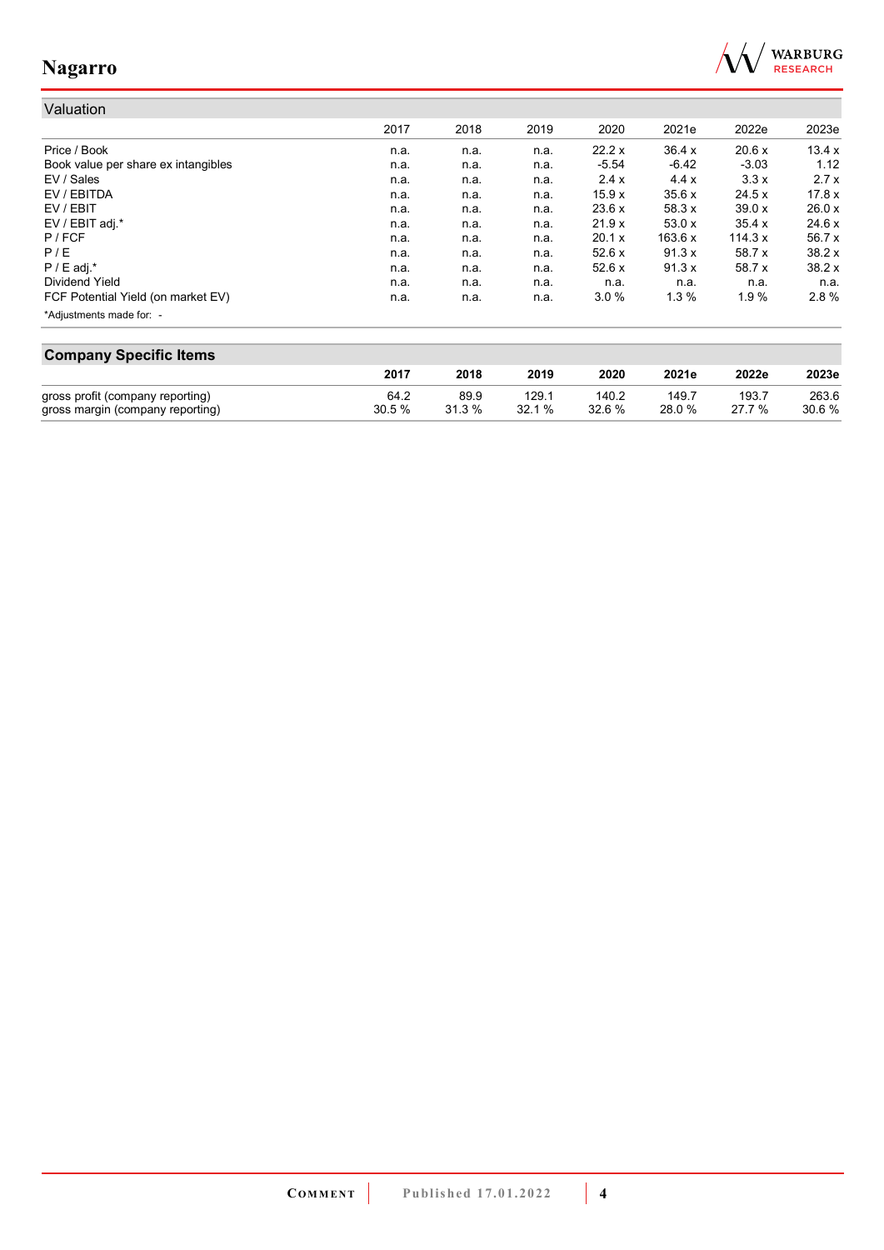

#### Valuation 2017 2018 2019 2020 2021e 2022e 2023e Price / Book n.a. n.a. n.a. 22.2 x 36.4 x 20.6 x 13.4 x Book value per share ex intangibles **n.a.** n.a. n.a. n.a. n.a. -5.54 -6.42 -3.03 1.12<br>EV / Sales 3.3 x 2.7 x n.a. n.a. n.a. 2.4 x 4.4 x 3.3 x 2.7 x EV / Sales n.a. n.a. n.a. 2.4 x 4.4 x 3.3 x 2.7 x EV / EBITDA n.a. n.a. n.a. 15.9 x 35.6 x 24.5 x 17.8 x EV / EBIT n.a. n.a. n.a. 23.6 x 58.3 x 39.0 x 26.0 x EV / EBIT adj.\* n.a. n.a. n.a. 21.9 x 53.0 x 35.4 x 24.6 x P / FCF n.a. n.a. n.a. 20.1 x 163.6 x 114.3 x 56.7 x P / E n.a. n.a. n.a. 52.6 x 91.3 x 58.7 x 38.2 x P / E adj.\* n.a. n.a. n.a. 52.6 x 91.3 x 58.7 x 38.2 x Dividend Yield n.a. n.a. n.a. n.a. n.a. n.a. n.a. FCF Potential Yield (on market EV) **n.a.** n.a. n.a. n.a. 3.0 % 1.3 % 1.9 % 2.8 % \*Adjustments made for: -

| <b>Company Specific Items</b>    |       |        |       |        |        |        |       |  |
|----------------------------------|-------|--------|-------|--------|--------|--------|-------|--|
|                                  | 2017  | 2018   | 2019  | 2020   | 2021e  | 2022e  | 2023e |  |
| gross profit (company reporting) | 64.2  | 89.9   | 129.1 | 140.2  | 149.7  | 193.7  | 263.6 |  |
| gross margin (company reporting) | 30.5% | 31.3 % | 32.1% | 32.6 % | 28.0 % | 27 7 % | 30.6% |  |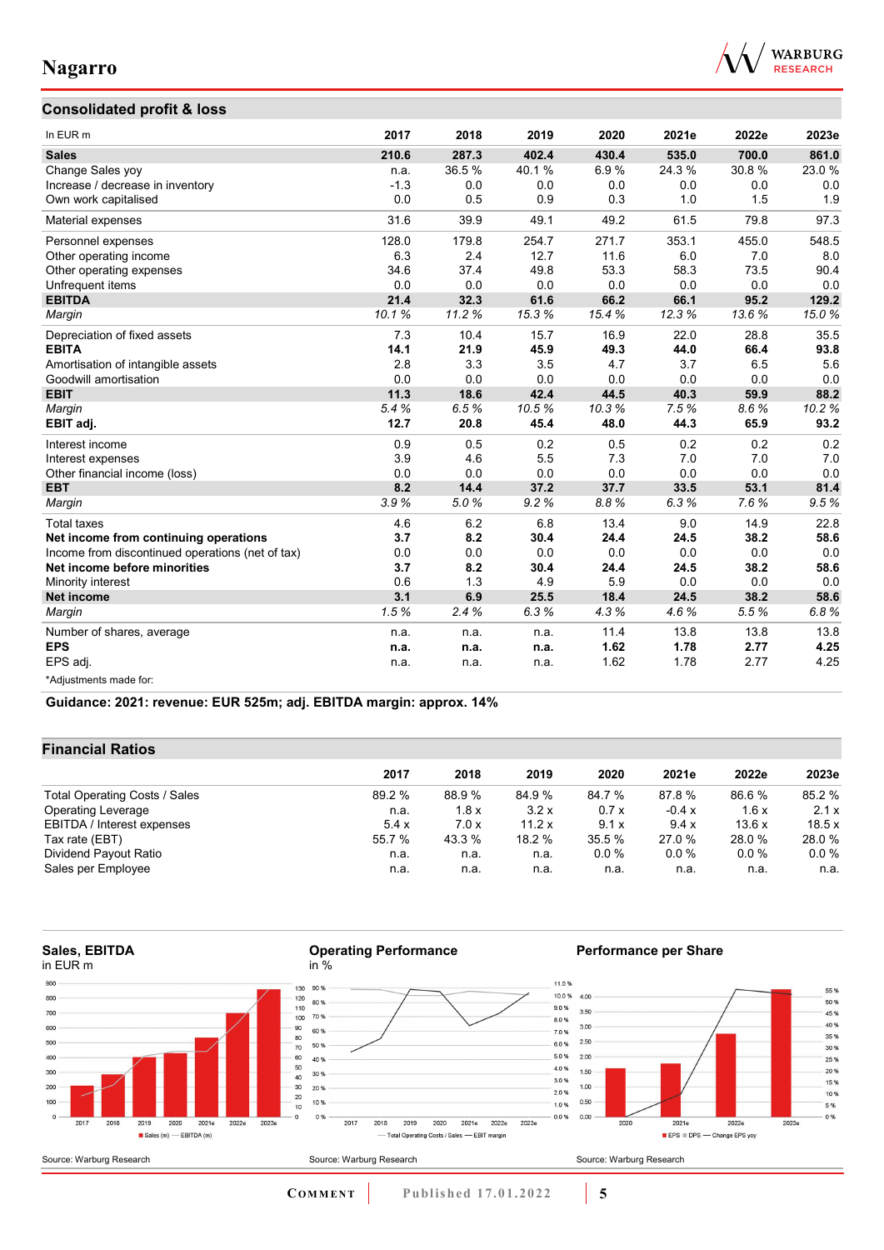

### **Consolidated profit & loss**

| In EUR m                                         | 2017   | 2018  | 2019  | 2020  | 2021e  | 2022e | 2023e |
|--------------------------------------------------|--------|-------|-------|-------|--------|-------|-------|
| <b>Sales</b>                                     | 210.6  | 287.3 | 402.4 | 430.4 | 535.0  | 700.0 | 861.0 |
| Change Sales yoy                                 | n.a.   | 36.5% | 40.1% | 6.9%  | 24.3 % | 30.8% | 23.0% |
| Increase / decrease in inventory                 | $-1.3$ | 0.0   | 0.0   | 0.0   | 0.0    | 0.0   | 0.0   |
| Own work capitalised                             | 0.0    | 0.5   | 0.9   | 0.3   | 1.0    | 1.5   | 1.9   |
| Material expenses                                | 31.6   | 39.9  | 49.1  | 49.2  | 61.5   | 79.8  | 97.3  |
| Personnel expenses                               | 128.0  | 179.8 | 254.7 | 271.7 | 353.1  | 455.0 | 548.5 |
| Other operating income                           | 6.3    | 2.4   | 12.7  | 11.6  | 6.0    | 7.0   | 8.0   |
| Other operating expenses                         | 34.6   | 37.4  | 49.8  | 53.3  | 58.3   | 73.5  | 90.4  |
| Unfrequent items                                 | 0.0    | 0.0   | 0.0   | 0.0   | 0.0    | 0.0   | 0.0   |
| <b>EBITDA</b>                                    | 21.4   | 32.3  | 61.6  | 66.2  | 66.1   | 95.2  | 129.2 |
| Margin                                           | 10.1%  | 11.2% | 15.3% | 15.4% | 12.3%  | 13.6% | 15.0% |
| Depreciation of fixed assets                     | 7.3    | 10.4  | 15.7  | 16.9  | 22.0   | 28.8  | 35.5  |
| <b>EBITA</b>                                     | 14.1   | 21.9  | 45.9  | 49.3  | 44.0   | 66.4  | 93.8  |
| Amortisation of intangible assets                | 2.8    | 3.3   | 3.5   | 4.7   | 3.7    | 6.5   | 5.6   |
| Goodwill amortisation                            | 0.0    | 0.0   | 0.0   | 0.0   | 0.0    | 0.0   | 0.0   |
| <b>EBIT</b>                                      | 11.3   | 18.6  | 42.4  | 44.5  | 40.3   | 59.9  | 88.2  |
| Margin                                           | 5.4%   | 6.5%  | 10.5% | 10.3% | 7.5%   | 8.6%  | 10.2% |
| EBIT adj.                                        | 12.7   | 20.8  | 45.4  | 48.0  | 44.3   | 65.9  | 93.2  |
| Interest income                                  | 0.9    | 0.5   | 0.2   | 0.5   | 0.2    | 0.2   | 0.2   |
| Interest expenses                                | 3.9    | 4.6   | 5.5   | 7.3   | 7.0    | 7.0   | 7.0   |
| Other financial income (loss)                    | 0.0    | 0.0   | 0.0   | 0.0   | 0.0    | 0.0   | 0.0   |
| <b>EBT</b>                                       | 8.2    | 14.4  | 37.2  | 37.7  | 33.5   | 53.1  | 81.4  |
| Margin                                           | 3.9%   | 5.0%  | 9.2%  | 8.8%  | 6.3%   | 7.6%  | 9.5%  |
| <b>Total taxes</b>                               | 4.6    | 6.2   | 6.8   | 13.4  | 9.0    | 14.9  | 22.8  |
| Net income from continuing operations            | 3.7    | 8.2   | 30.4  | 24.4  | 24.5   | 38.2  | 58.6  |
| Income from discontinued operations (net of tax) | 0.0    | 0.0   | 0.0   | 0.0   | 0.0    | 0.0   | 0.0   |
| Net income before minorities                     | 3.7    | 8.2   | 30.4  | 24.4  | 24.5   | 38.2  | 58.6  |
| Minority interest                                | 0.6    | 1.3   | 4.9   | 5.9   | 0.0    | 0.0   | 0.0   |
| <b>Net income</b>                                | 3.1    | 6.9   | 25.5  | 18.4  | 24.5   | 38.2  | 58.6  |
| Margin                                           | 1.5%   | 2.4%  | 6.3%  | 4.3%  | 4.6%   | 5.5%  | 6.8%  |
| Number of shares, average                        | n.a.   | n.a.  | n.a.  | 11.4  | 13.8   | 13.8  | 13.8  |
| <b>EPS</b>                                       | n.a.   | n.a.  | n.a.  | 1.62  | 1.78   | 2.77  | 4.25  |
| EPS adj.                                         | n.a.   | n.a.  | n.a.  | 1.62  | 1.78   | 2.77  | 4.25  |
| *Adjustments made for:                           |        |       |       |       |        |       |       |

**Guidance: 2021: revenue: EUR 525m; adj. EBITDA margin: approx. 14%**

#### **Financial Ratios**

|                               | 2017   | 2018   | 2019   | 2020   | 2021e   | 2022e   | 2023e   |
|-------------------------------|--------|--------|--------|--------|---------|---------|---------|
|                               |        |        |        |        |         |         |         |
| Total Operating Costs / Sales | 89.2 % | 88.9 % | 84.9%  | 84.7 % | 87.8 %  | 86.6%   | 85.2 %  |
| <b>Operating Leverage</b>     | n.a.   | 1.8x   | 3.2x   | 0.7x   | $-0.4x$ | 1.6x    | 2.1x    |
| EBITDA / Interest expenses    | 5.4x   | 7.0x   | 11.2 x | 9.1x   | 9.4x    | 13.6x   | 18.5x   |
| Tax rate (EBT)                | 55.7 % | 43.3 % | 18.2 % | 35.5 % | 27.0 %  | 28.0%   | 28.0%   |
| Dividend Payout Ratio         | n.a.   | n.a.   | n.a.   | 0.0%   | $0.0\%$ | $0.0\%$ | $0.0\%$ |
| Sales per Employee            | n.a.   | n.a.   | n.a.   | n.a.   | n.a.    | n.a.    | n.a.    |

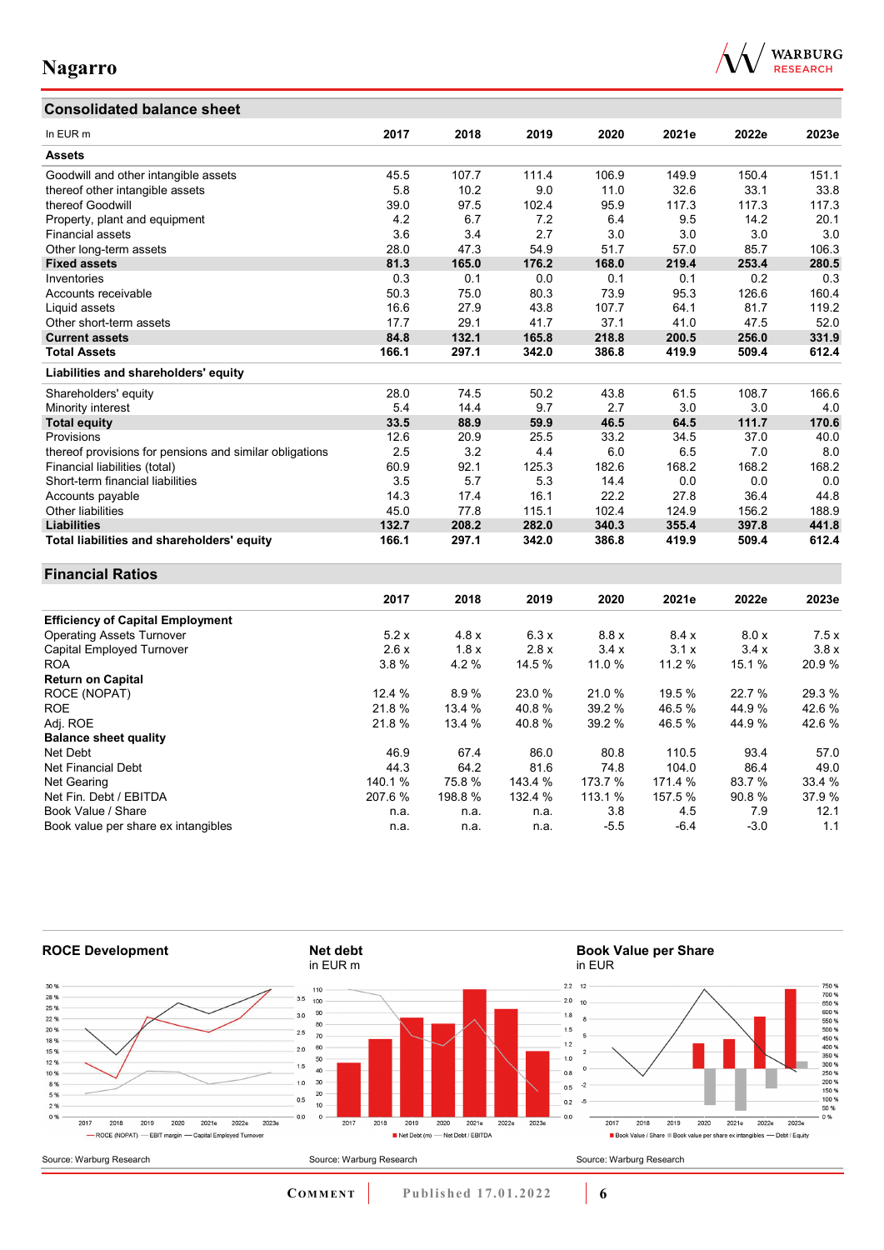## **Consolidated balance sheet**



| In EUR m                                                | 2017   | 2018   | 2019    | 2020    | 2021e   | 2022e  | 2023e  |
|---------------------------------------------------------|--------|--------|---------|---------|---------|--------|--------|
| <b>Assets</b>                                           |        |        |         |         |         |        |        |
| Goodwill and other intangible assets                    | 45.5   | 107.7  | 111.4   | 106.9   | 149.9   | 150.4  | 151.1  |
| thereof other intangible assets                         | 5.8    | 10.2   | 9.0     | 11.0    | 32.6    | 33.1   | 33.8   |
| thereof Goodwill                                        | 39.0   | 97.5   | 102.4   | 95.9    | 117.3   | 117.3  | 117.3  |
| Property, plant and equipment                           | 4.2    | 6.7    | 7.2     | 6.4     | 9.5     | 14.2   | 20.1   |
| Financial assets                                        | 3.6    | 3.4    | 2.7     | 3.0     | 3.0     | 3.0    | 3.0    |
| Other long-term assets                                  | 28.0   | 47.3   | 54.9    | 51.7    | 57.0    | 85.7   | 106.3  |
| <b>Fixed assets</b>                                     | 81.3   | 165.0  | 176.2   | 168.0   | 219.4   | 253.4  | 280.5  |
| Inventories                                             | 0.3    | 0.1    | 0.0     | 0.1     | 0.1     | 0.2    | 0.3    |
| Accounts receivable                                     | 50.3   | 75.0   | 80.3    | 73.9    | 95.3    | 126.6  | 160.4  |
| Liquid assets                                           | 16.6   | 27.9   | 43.8    | 107.7   | 64.1    | 81.7   | 119.2  |
| Other short-term assets                                 | 17.7   | 29.1   | 41.7    | 37.1    | 41.0    | 47.5   | 52.0   |
| <b>Current assets</b>                                   | 84.8   | 132.1  | 165.8   | 218.8   | 200.5   | 256.0  | 331.9  |
| <b>Total Assets</b>                                     | 166.1  | 297.1  | 342.0   | 386.8   | 419.9   | 509.4  | 612.4  |
| Liabilities and shareholders' equity                    |        |        |         |         |         |        |        |
|                                                         |        | 74.5   |         |         |         |        |        |
| Shareholders' equity                                    | 28.0   |        | 50.2    | 43.8    | 61.5    | 108.7  | 166.6  |
| Minority interest                                       | 5.4    | 14.4   | 9.7     | 2.7     | 3.0     | 3.0    | 4.0    |
| <b>Total equity</b>                                     | 33.5   | 88.9   | 59.9    | 46.5    | 64.5    | 111.7  | 170.6  |
| Provisions                                              | 12.6   | 20.9   | 25.5    | 33.2    | 34.5    | 37.0   | 40.0   |
| thereof provisions for pensions and similar obligations | 2.5    | 3.2    | 4.4     | 6.0     | 6.5     | 7.0    | 8.0    |
| Financial liabilities (total)                           | 60.9   | 92.1   | 125.3   | 182.6   | 168.2   | 168.2  | 168.2  |
| Short-term financial liabilities                        | 3.5    | 5.7    | 5.3     | 14.4    | 0.0     | 0.0    | 0.0    |
| Accounts payable                                        | 14.3   | 17.4   | 16.1    | 22.2    | 27.8    | 36.4   | 44.8   |
| Other liabilities                                       | 45.0   | 77.8   | 115.1   | 102.4   | 124.9   | 156.2  | 188.9  |
| <b>Liabilities</b>                                      | 132.7  | 208.2  | 282.0   | 340.3   | 355.4   | 397.8  | 441.8  |
| Total liabilities and shareholders' equity              | 166.1  | 297.1  | 342.0   | 386.8   | 419.9   | 509.4  | 612.4  |
| <b>Financial Ratios</b>                                 |        |        |         |         |         |        |        |
|                                                         | 2017   | 2018   | 2019    | 2020    | 2021e   | 2022e  | 2023e  |
| <b>Efficiency of Capital Employment</b>                 |        |        |         |         |         |        |        |
| <b>Operating Assets Turnover</b>                        | 5.2x   | 4.8x   | 6.3x    | 8.8x    | 8.4x    | 8.0 x  | 7.5x   |
| <b>Capital Employed Turnover</b>                        | 2.6x   | 1.8x   | 2.8x    | 3.4x    | 3.1x    | 3.4x   | 3.8x   |
| ROA                                                     | 3.8%   | 4.2%   | 14.5 %  | 11.0 %  | 11.2 %  | 15.1%  | 20.9%  |
| <b>Return on Capital</b>                                |        |        |         |         |         |        |        |
| ROCE (NOPAT)                                            | 12.4 % | 8.9%   | 23.0%   | 21.0%   | 19.5%   | 22.7%  | 29.3%  |
| <b>ROE</b>                                              | 21.8%  | 13.4 % | 40.8%   | 39.2 %  | 46.5%   | 44.9%  | 42.6%  |
| Adj. ROE                                                | 21.8%  | 13.4 % | 40.8%   | 39.2 %  | 46.5%   | 44.9%  | 42.6%  |
| <b>Balance sheet quality</b>                            |        |        |         |         |         |        |        |
| Net Debt                                                | 46.9   | 67.4   | 86.0    | 80.8    | 110.5   | 93.4   | 57.0   |
| <b>Net Financial Debt</b>                               | 44.3   | 64.2   | 81.6    | 74.8    | 104.0   | 86.4   | 49.0   |
| Net Gearing                                             | 140.1% | 75.8%  | 143.4 % | 173.7 % | 171.4 % | 83.7 % | 33.4 % |
| Net Fin. Debt / EBITDA                                  | 207.6% | 198.8% | 132.4 % | 113.1 % | 157.5 % | 90.8%  | 37.9%  |
| Book Value / Share                                      | n.a.   | n.a.   | n.a.    | 3.8     | 4.5     | 7.9    | 12.1   |
| Book value per share ex intangibles                     | n.a.   | n.a.   | n.a.    | $-5.5$  | $-6.4$  | $-3.0$ | 1.1    |



**COMMENT** Published 17.01.2022 **6**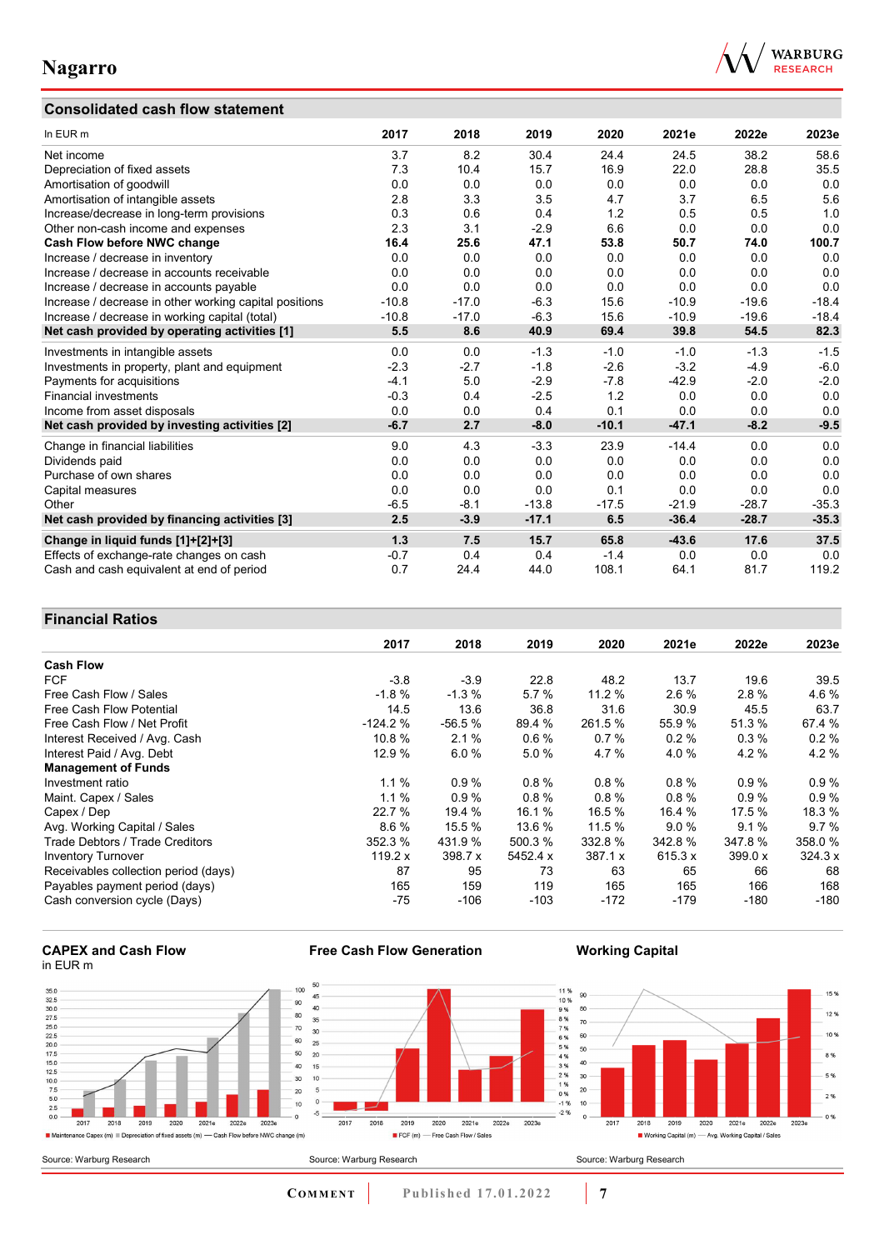### **Consolidated cash flow statement**



| In EUR m                                               | 2017    | 2018    | 2019    | 2020    | 2021e   | 2022e   | 2023e   |
|--------------------------------------------------------|---------|---------|---------|---------|---------|---------|---------|
| Net income                                             | 3.7     | 8.2     | 30.4    | 24.4    | 24.5    | 38.2    | 58.6    |
| Depreciation of fixed assets                           | 7.3     | 10.4    | 15.7    | 16.9    | 22.0    | 28.8    | 35.5    |
| Amortisation of goodwill                               | 0.0     | 0.0     | 0.0     | 0.0     | 0.0     | 0.0     | 0.0     |
| Amortisation of intangible assets                      | 2.8     | 3.3     | 3.5     | 4.7     | 3.7     | 6.5     | 5.6     |
| Increase/decrease in long-term provisions              | 0.3     | 0.6     | 0.4     | 1.2     | 0.5     | 0.5     | 1.0     |
| Other non-cash income and expenses                     | 2.3     | 3.1     | $-2.9$  | 6.6     | 0.0     | 0.0     | 0.0     |
| Cash Flow before NWC change                            | 16.4    | 25.6    | 47.1    | 53.8    | 50.7    | 74.0    | 100.7   |
| Increase / decrease in inventory                       | 0.0     | 0.0     | 0.0     | 0.0     | 0.0     | 0.0     | 0.0     |
| Increase / decrease in accounts receivable             | 0.0     | 0.0     | 0.0     | 0.0     | 0.0     | 0.0     | 0.0     |
| Increase / decrease in accounts payable                | 0.0     | 0.0     | 0.0     | 0.0     | 0.0     | 0.0     | 0.0     |
| Increase / decrease in other working capital positions | $-10.8$ | $-17.0$ | $-6.3$  | 15.6    | $-10.9$ | $-19.6$ | $-18.4$ |
| Increase / decrease in working capital (total)         | $-10.8$ | $-17.0$ | $-6.3$  | 15.6    | $-10.9$ | $-19.6$ | $-18.4$ |
| Net cash provided by operating activities [1]          | 5.5     | 8.6     | 40.9    | 69.4    | 39.8    | 54.5    | 82.3    |
| Investments in intangible assets                       | 0.0     | 0.0     | $-1.3$  | $-1.0$  | $-1.0$  | $-1.3$  | $-1.5$  |
| Investments in property, plant and equipment           | $-2.3$  | $-2.7$  | $-1.8$  | $-2.6$  | $-3.2$  | $-4.9$  | $-6.0$  |
| Payments for acquisitions                              | $-4.1$  | 5.0     | $-2.9$  | $-7.8$  | $-42.9$ | $-2.0$  | $-2.0$  |
| <b>Financial investments</b>                           | $-0.3$  | 0.4     | $-2.5$  | 1.2     | 0.0     | 0.0     | 0.0     |
| Income from asset disposals                            | 0.0     | 0.0     | 0.4     | 0.1     | 0.0     | 0.0     | 0.0     |
| Net cash provided by investing activities [2]          | $-6.7$  | 2.7     | $-8.0$  | $-10.1$ | $-47.1$ | $-8.2$  | $-9.5$  |
| Change in financial liabilities                        | 9.0     | 4.3     | $-3.3$  | 23.9    | $-14.4$ | 0.0     | 0.0     |
| Dividends paid                                         | 0.0     | 0.0     | 0.0     | 0.0     | 0.0     | 0.0     | 0.0     |
| Purchase of own shares                                 | 0.0     | 0.0     | 0.0     | 0.0     | 0.0     | 0.0     | 0.0     |
| Capital measures                                       | 0.0     | 0.0     | 0.0     | 0.1     | 0.0     | 0.0     | 0.0     |
| Other                                                  | $-6.5$  | $-8.1$  | $-13.8$ | $-17.5$ | $-21.9$ | $-28.7$ | $-35.3$ |
| Net cash provided by financing activities [3]          | 2.5     | $-3.9$  | $-17.1$ | 6.5     | $-36.4$ | $-28.7$ | $-35.3$ |
| Change in liquid funds [1]+[2]+[3]                     | 1.3     | 7.5     | 15.7    | 65.8    | $-43.6$ | 17.6    | 37.5    |
| Effects of exchange-rate changes on cash               | $-0.7$  | 0.4     | 0.4     | $-1.4$  | 0.0     | 0.0     | 0.0     |
| Cash and cash equivalent at end of period              | 0.7     | 24.4    | 44.0    | 108.1   | 64.1    | 81.7    | 119.2   |

### **Financial Ratios**

|                                      | 2017      | 2018     | 2019     | 2020    | 2021e   | 2022e   | 2023e   |
|--------------------------------------|-----------|----------|----------|---------|---------|---------|---------|
| <b>Cash Flow</b>                     |           |          |          |         |         |         |         |
| <b>FCF</b>                           | $-3.8$    | $-3.9$   | 22.8     | 48.2    | 13.7    | 19.6    | 39.5    |
| Free Cash Flow / Sales               | $-1.8%$   | $-1.3%$  | 5.7%     | 11.2 %  | 2.6%    | 2.8%    | 4.6%    |
| Free Cash Flow Potential             | 14.5      | 13.6     | 36.8     | 31.6    | 30.9    | 45.5    | 63.7    |
| Free Cash Flow / Net Profit          | $-124.2%$ | $-56.5%$ | 89.4 %   | 261.5 % | 55.9 %  | 51.3%   | 67.4 %  |
| Interest Received / Avg. Cash        | 10.8 %    | 2.1%     | 0.6%     | 0.7%    | 0.2%    | 0.3%    | 0.2%    |
| Interest Paid / Avg. Debt            | 12.9 %    | 6.0%     | 5.0%     | 4.7%    | 4.0%    | 4.2%    | 4.2%    |
| <b>Management of Funds</b>           |           |          |          |         |         |         |         |
| Investment ratio                     | 1.1%      | 0.9%     | 0.8%     | 0.8%    | 0.8%    | 0.9%    | 0.9%    |
| Maint. Capex / Sales                 | 1.1%      | 0.9%     | 0.8%     | 0.8%    | 0.8%    | 0.9%    | 0.9%    |
| Capex / Dep                          | 22.7 %    | 19.4 %   | 16.1 %   | 16.5 %  | 16.4 %  | 17.5 %  | 18.3 %  |
| Avg. Working Capital / Sales         | 8.6%      | 15.5 %   | 13.6 %   | 11.5 %  | 9.0%    | 9.1%    | 9.7%    |
| Trade Debtors / Trade Creditors      | 352.3 %   | 431.9 %  | 500.3 %  | 332.8 % | 342.8 % | 347.8%  | 358.0 % |
| <b>Inventory Turnover</b>            | 119.2 $x$ | 398.7 x  | 5452.4 x | 387.1 x | 615.3 x | 399.0 x | 324.3 x |
| Receivables collection period (days) | 87        | 95       | 73       | 63      | 65      | 66      | 68      |
| Payables payment period (days)       | 165       | 159      | 119      | 165     | 165     | 166     | 168     |
| Cash conversion cycle (Days)         | $-75$     | $-106$   | $-103$   | $-172$  | $-179$  | $-180$  | $-180$  |

#### **CAPEX and Cash Flow** in EUR m



**Free Cash Flow Generation**

**Working Capital**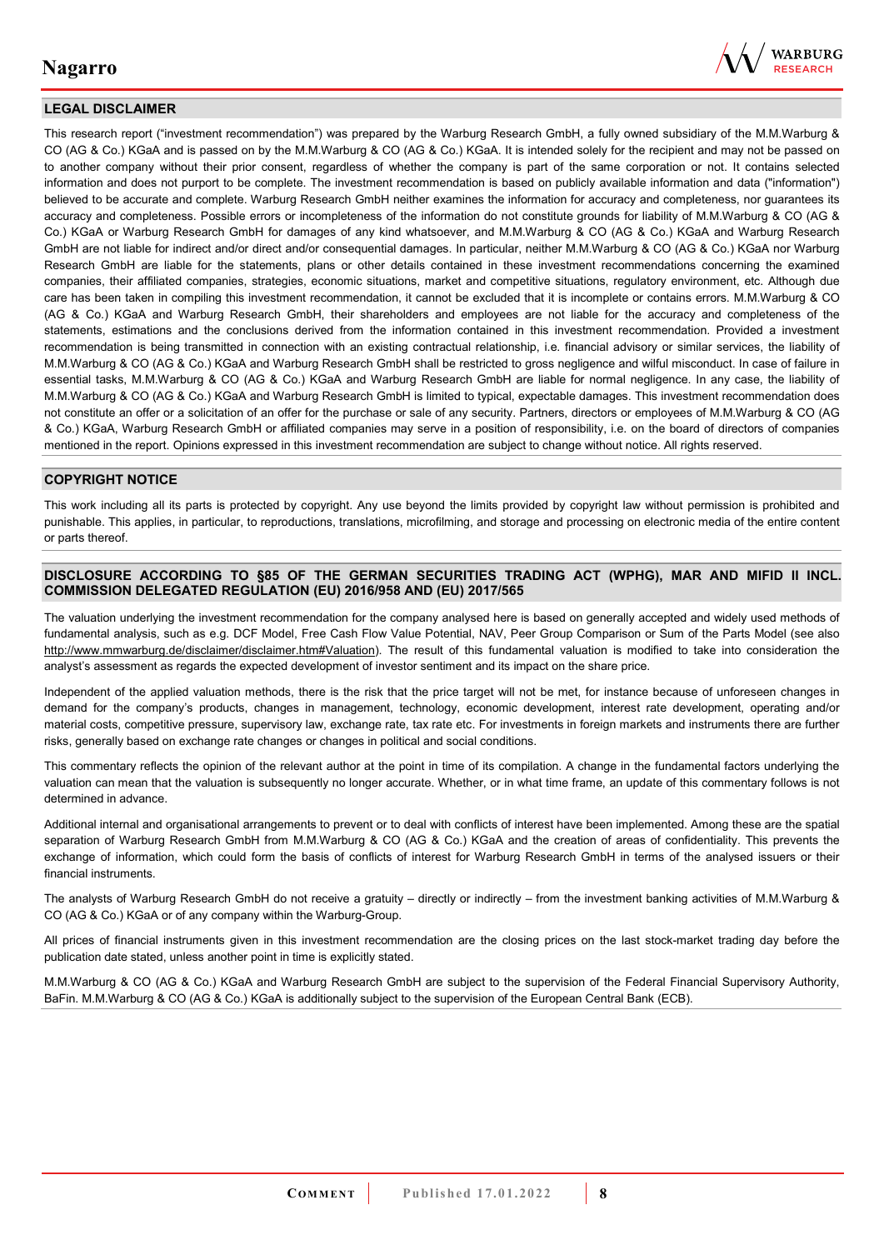

#### **LEGAL DISCLAIMER**

This research report ("investment recommendation") was prepared by the Warburg Research GmbH, a fully owned subsidiary of the M.M.Warburg & CO (AG & Co.) KGaA and is passed on by the M.M.Warburg & CO (AG & Co.) KGaA. It is intended solely for the recipient and may not be passed on to another company without their prior consent, regardless of whether the company is part of the same corporation or not. It contains selected information and does not purport to be complete. The investment recommendation is based on publicly available information and data ("information") believed to be accurate and complete. Warburg Research GmbH neither examines the information for accuracy and completeness, nor guarantees its accuracy and completeness. Possible errors or incompleteness of the information do not constitute grounds for liability of M.M.Warburg & CO (AG & Co.) KGaA or Warburg Research GmbH for damages of any kind whatsoever, and M.M.Warburg & CO (AG & Co.) KGaA and Warburg Research GmbH are not liable for indirect and/or direct and/or consequential damages. In particular, neither M.M.Warburg & CO (AG & Co.) KGaA nor Warburg Research GmbH are liable for the statements, plans or other details contained in these investment recommendations concerning the examined companies, their affiliated companies, strategies, economic situations, market and competitive situations, regulatory environment, etc. Although due care has been taken in compiling this investment recommendation, it cannot be excluded that it is incomplete or contains errors. M.M.Warburg & CO (AG & Co.) KGaA and Warburg Research GmbH, their shareholders and employees are not liable for the accuracy and completeness of the statements, estimations and the conclusions derived from the information contained in this investment recommendation. Provided a investment recommendation is being transmitted in connection with an existing contractual relationship, i.e. financial advisory or similar services, the liability of M.M.Warburg & CO (AG & Co.) KGaA and Warburg Research GmbH shall be restricted to gross negligence and wilful misconduct. In case of failure in essential tasks, M.M.Warburg & CO (AG & Co.) KGaA and Warburg Research GmbH are liable for normal negligence. In any case, the liability of M.M.Warburg & CO (AG & Co.) KGaA and Warburg Research GmbH is limited to typical, expectable damages. This investment recommendation does not constitute an offer or a solicitation of an offer for the purchase or sale of any security. Partners, directors or employees of M.M.Warburg & CO (AG & Co.) KGaA, Warburg Research GmbH or affiliated companies may serve in a position of responsibility, i.e. on the board of directors of companies mentioned in the report. Opinions expressed in this investment recommendation are subject to change without notice. All rights reserved.

#### **COPYRIGHT NOTICE**

This work including all its parts is protected by copyright. Any use beyond the limits provided by copyright law without permission is prohibited and punishable. This applies, in particular, to reproductions, translations, microfilming, and storage and processing on electronic media of the entire content or parts thereof.

#### **DISCLOSURE ACCORDING TO §85 OF THE GERMAN SECURITIES TRADING ACT (WPHG), MAR AND MIFID II INCL. COMMISSION DELEGATED REGULATION (EU) 2016/958 AND (EU) 2017/565**

The valuation underlying the investment recommendation for the company analysed here is based on generally accepted and widely used methods of fundamental analysis, such as e.g. DCF Model, Free Cash Flow Value Potential, NAV, Peer Group Comparison or Sum of the Parts Model (see also [http://www.mmwarburg.de/disclaimer/disclaimer.htm#Valuation\)](http://www.mmwarburg.de/disclaimer/disclaimer.htm#Valuation). The result of this fundamental valuation is modified to take into consideration the analyst's assessment as regards the expected development of investor sentiment and its impact on the share price.

Independent of the applied valuation methods, there is the risk that the price target will not be met, for instance because of unforeseen changes in demand for the company's products, changes in management, technology, economic development, interest rate development, operating and/or material costs, competitive pressure, supervisory law, exchange rate, tax rate etc. For investments in foreign markets and instruments there are further risks, generally based on exchange rate changes or changes in political and social conditions.

This commentary reflects the opinion of the relevant author at the point in time of its compilation. A change in the fundamental factors underlying the valuation can mean that the valuation is subsequently no longer accurate. Whether, or in what time frame, an update of this commentary follows is not determined in advance.

Additional internal and organisational arrangements to prevent or to deal with conflicts of interest have been implemented. Among these are the spatial separation of Warburg Research GmbH from M.M.Warburg & CO (AG & Co.) KGaA and the creation of areas of confidentiality. This prevents the exchange of information, which could form the basis of conflicts of interest for Warburg Research GmbH in terms of the analysed issuers or their financial instruments.

The analysts of Warburg Research GmbH do not receive a gratuity – directly or indirectly – from the investment banking activities of M.M.Warburg & CO (AG & Co.) KGaA or of any company within the Warburg-Group.

All prices of financial instruments given in this investment recommendation are the closing prices on the last stock-market trading day before the publication date stated, unless another point in time is explicitly stated.

M.M.Warburg & CO (AG & Co.) KGaA and Warburg Research GmbH are subject to the supervision of the Federal Financial Supervisory Authority, BaFin. M.M.Warburg & CO (AG & Co.) KGaA is additionally subject to the supervision of the European Central Bank (ECB).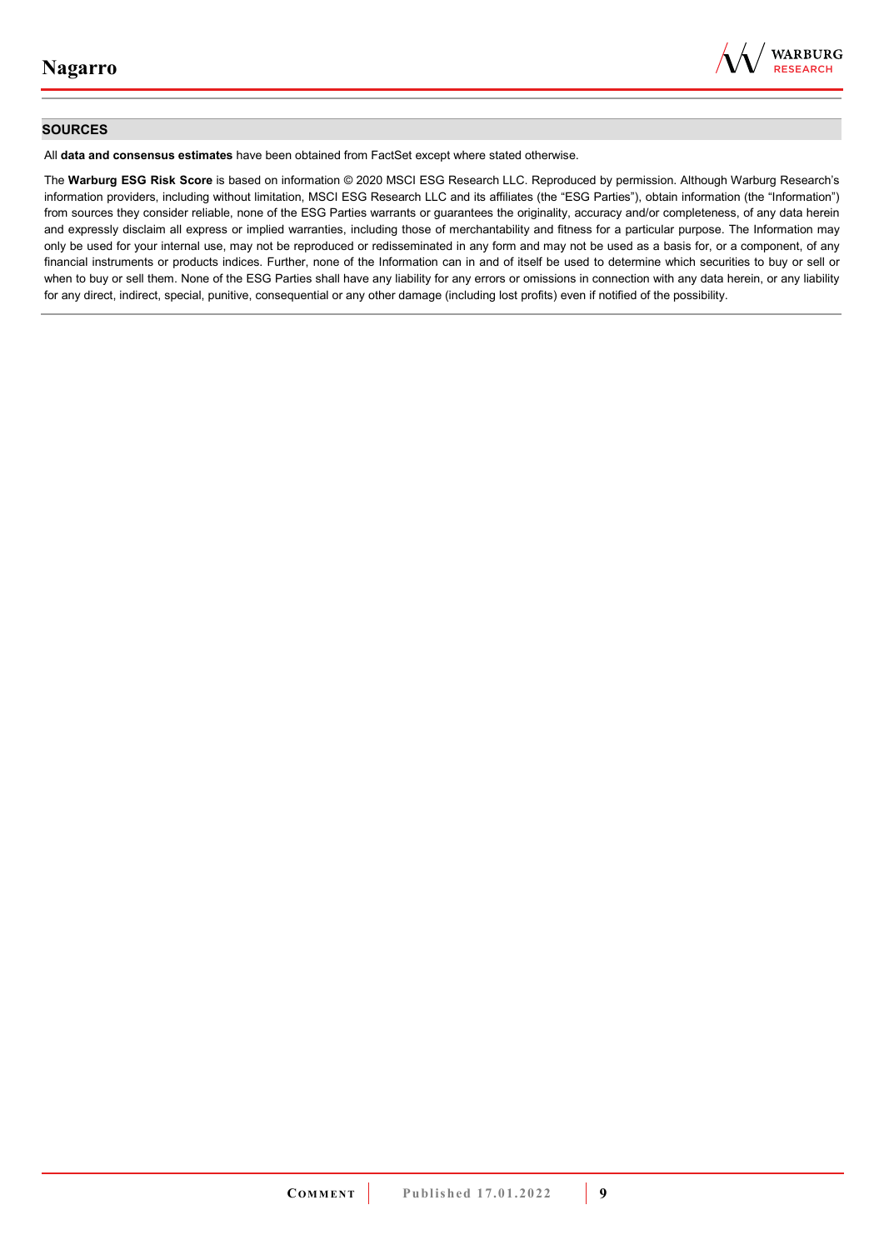

#### **SOURCES**

All **data and consensus estimates** have been obtained from FactSet except where stated otherwise.

The **Warburg ESG Risk Score** is based on information © 2020 MSCI ESG Research LLC. Reproduced by permission. Although Warburg Research's information providers, including without limitation, MSCI ESG Research LLC and its affiliates (the "ESG Parties"), obtain information (the "Information") from sources they consider reliable, none of the ESG Parties warrants or guarantees the originality, accuracy and/or completeness, of any data herein and expressly disclaim all express or implied warranties, including those of merchantability and fitness for a particular purpose. The Information may only be used for your internal use, may not be reproduced or redisseminated in any form and may not be used as a basis for, or a component, of any financial instruments or products indices. Further, none of the Information can in and of itself be used to determine which securities to buy or sell or when to buy or sell them. None of the ESG Parties shall have any liability for any errors or omissions in connection with any data herein, or any liability for any direct, indirect, special, punitive, consequential or any other damage (including lost profits) even if notified of the possibility.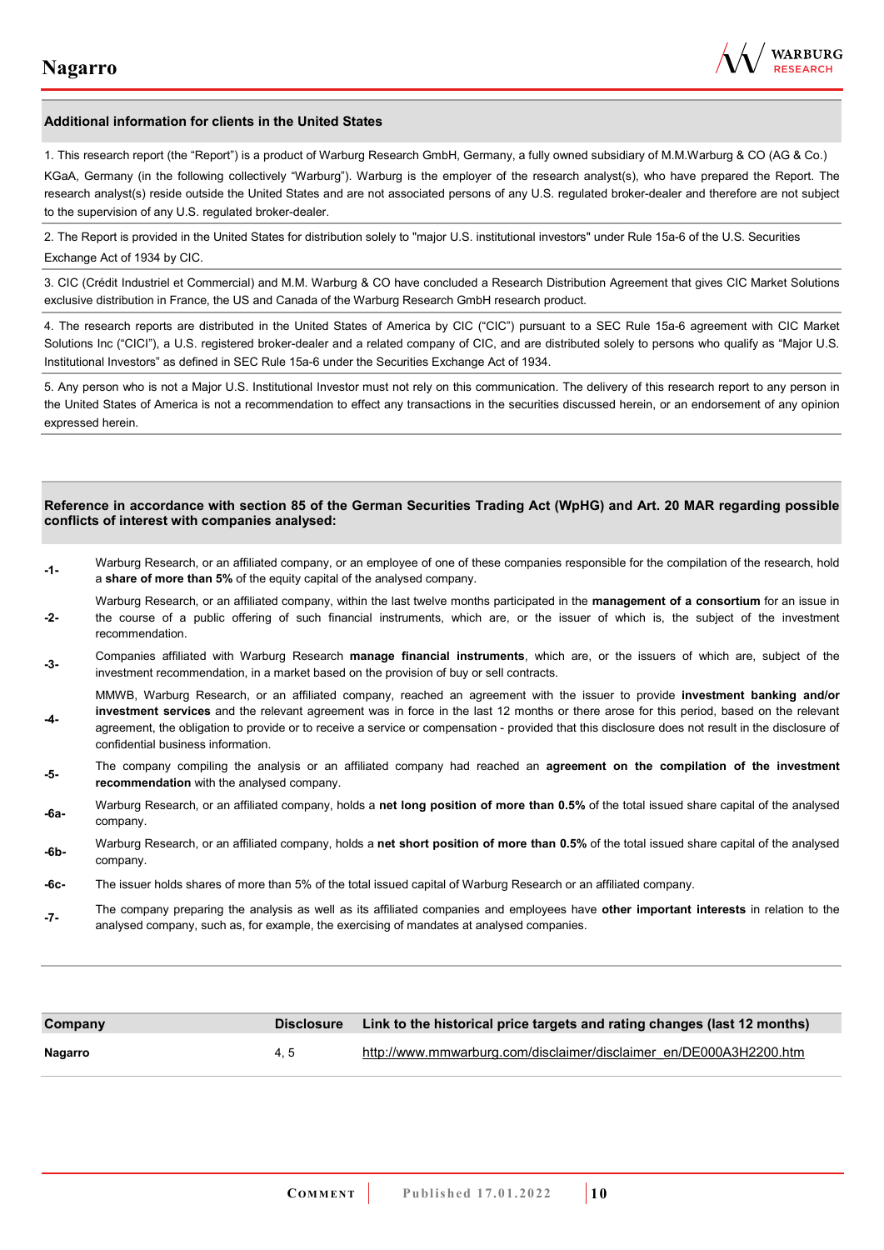

#### **Additional information for clients in the United States**

1. This research report (the "Report") is a product of Warburg Research GmbH, Germany, a fully owned subsidiary of M.M.Warburg & CO (AG & Co.)

KGaA, Germany (in the following collectively "Warburg"). Warburg is the employer of the research analyst(s), who have prepared the Report. The research analyst(s) reside outside the United States and are not associated persons of any U.S. regulated broker-dealer and therefore are not subject to the supervision of any U.S. regulated broker-dealer.

2. The Report is provided in the United States for distribution solely to "major U.S. institutional investors" under Rule 15a-6 of the U.S. Securities Exchange Act of 1934 by CIC.

3. CIC (Crédit Industriel et Commercial) and M.M. Warburg & CO have concluded a Research Distribution Agreement that gives CIC Market Solutions exclusive distribution in France, the US and Canada of the Warburg Research GmbH research product.

4. The research reports are distributed in the United States of America by CIC ("CIC") pursuant to a SEC Rule 15a-6 agreement with CIC Market Solutions Inc ("CICI"), a U.S. registered broker-dealer and a related company of CIC, and are distributed solely to persons who qualify as "Major U.S. Institutional Investors" as defined in SEC Rule 15a-6 under the Securities Exchange Act of 1934.

5. Any person who is not a Major U.S. Institutional Investor must not rely on this communication. The delivery of this research report to any person in the United States of America is not a recommendation to effect any transactions in the securities discussed herein, or an endorsement of any opinion expressed herein.

#### **Reference in accordance with section 85 of the German Securities Trading Act (WpHG) and Art. 20 MAR regarding possible conflicts of interest with companies analysed:**

- **-1-** Warburg Research, or an affiliated company, or an employee of one of these companies responsible for the compilation of the research, hold a **share of more than 5%** of the equity capital of the analysed company.
- **-2-**  Warburg Research, or an affiliated company, within the last twelve months participated in the **management of a consortium** for an issue in the course of a public offering of such financial instruments, which are, or the issuer of which is, the subject of the investment recommendation.
- **-3-** Companies affiliated with Warburg Research **manage financial instruments**, which are, or the issuers of which are, subject of the investment recommendation, in a market based on the provision of buy or sell contracts.

MMWB, Warburg Research, or an affiliated company, reached an agreement with the issuer to provide **investment banking and/or investment services** and the relevant agreement was in force in the last 12 months or there arose for this period, based on the relevant

- **-4**  agreement, the obligation to provide or to receive a service or compensation - provided that this disclosure does not result in the disclosure of confidential business information.
- **-5-** The company compiling the analysis or an affiliated company had reached an **agreement on the compilation of the investment recommendation** with the analysed company.
- **-6a-** Warburg Research, or an affiliated company, holds a **net long position of more than 0.5%** of the total issued share capital of the analysed company.
- **-6b-** Warburg Research, or an affiliated company, holds a **net short position of more than 0.5%** of the total issued share capital of the analysed company.
- **-6c-** The issuer holds shares of more than 5% of the total issued capital of Warburg Research or an affiliated company.
- **-7-** The company preparing the analysis as well as its affiliated companies and employees have **other important interests** in relation to the analysed company, such as, for example, the exercising of mandates at analysed companies.

| Company | <b>Disclosure</b> | Link to the historical price targets and rating changes (last 12 months) |
|---------|-------------------|--------------------------------------------------------------------------|
| Nagarro | 4.5               | http://www.mmwarburg.com/disclaimer/disclaimer_en/DE000A3H2200.htm       |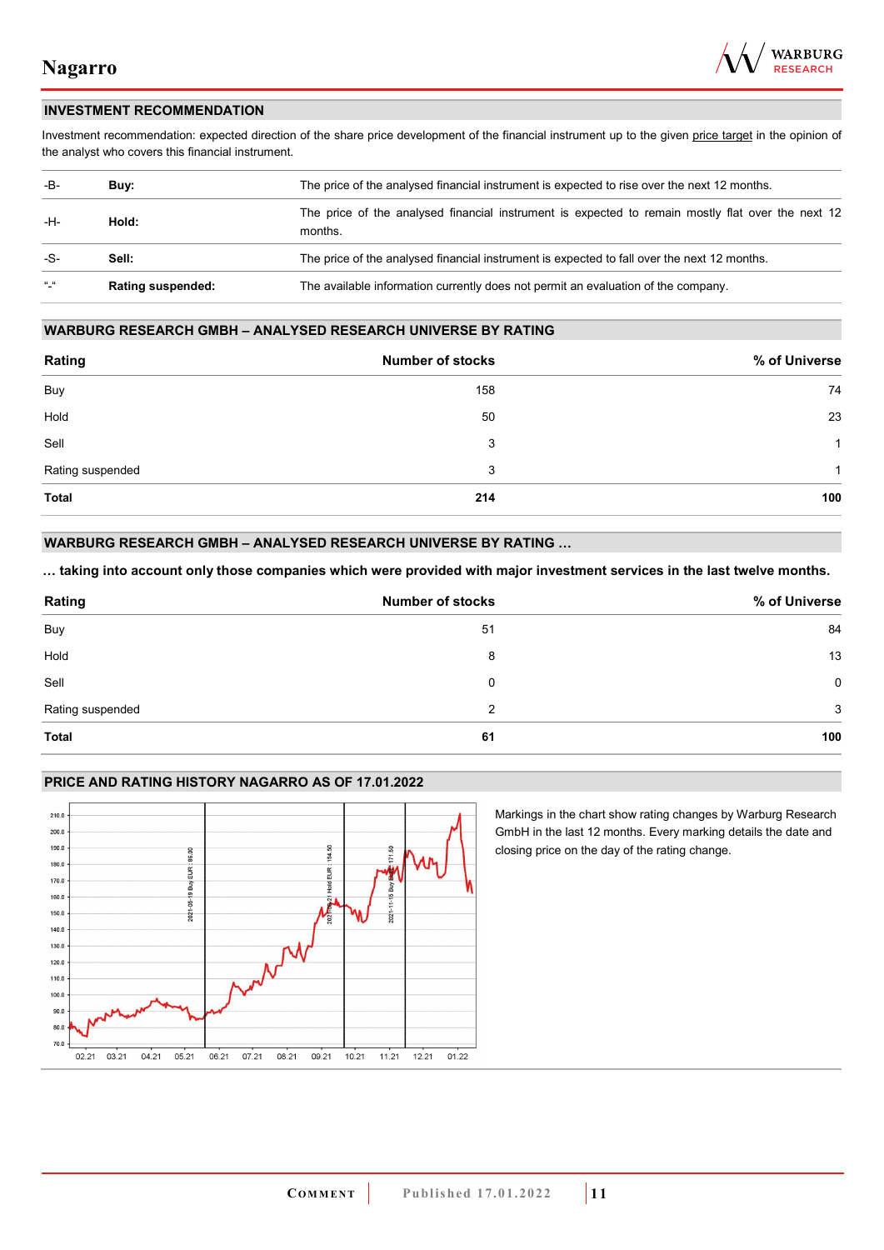

#### **INVESTMENT RECOMMENDATION**

Investment recommendation: expected direction of the share price development of the financial instrument up to the given price target in the opinion of the analyst who covers this financial instrument.

| -B-           | Buy:                     | The price of the analysed financial instrument is expected to rise over the next 12 months.                  |  |
|---------------|--------------------------|--------------------------------------------------------------------------------------------------------------|--|
| -H-           | Hold:                    | The price of the analysed financial instrument is expected to remain mostly flat over the next 12<br>months. |  |
| -S-           | Sell:                    | The price of the analysed financial instrument is expected to fall over the next 12 months.                  |  |
| $\frac{1}{2}$ | <b>Rating suspended:</b> | The available information currently does not permit an evaluation of the company.                            |  |

#### **WARBURG RESEARCH GMBH – ANALYSED RESEARCH UNIVERSE BY RATING**

| Rating           | <b>Number of stocks</b> | % of Universe |
|------------------|-------------------------|---------------|
| Buy              | 158                     | 74            |
| Hold             | 50                      | 23            |
| Sell             | 3                       | -1            |
| Rating suspended | 3                       | 1             |
| <b>Total</b>     | 214                     | 100           |

#### **WARBURG RESEARCH GMBH – ANALYSED RESEARCH UNIVERSE BY RATING …**

**… taking into account only those companies which were provided with major investment services in the last twelve months.** 

| Rating           | <b>Number of stocks</b> | % of Universe |
|------------------|-------------------------|---------------|
| Buy              | 51                      | 84            |
| Hold             | 8                       | 13            |
| Sell             | 0                       | $\mathbf 0$   |
| Rating suspended | 2                       | 3             |
| <b>Total</b>     | 61                      | 100           |

#### **PRICE AND RATING HISTORY NAGARRO AS OF 17.01.2022**



Markings in the chart show rating changes by Warburg Research GmbH in the last 12 months. Every marking details the date and closing price on the day of the rating change.